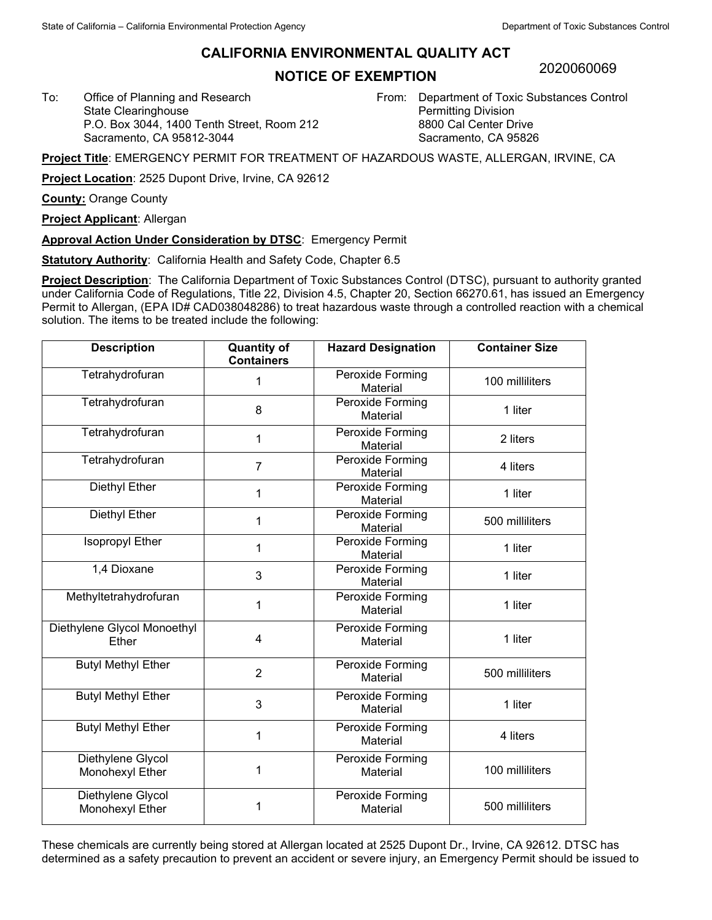## **CALIFORNIA ENVIRONMENTAL QUALITY ACT**

## **NOTICE OF EXEMPTION**

2020060069

To: Office of Planning and Research State Clearinghouse P.O. Box 3044, 1400 Tenth Street, Room 212 Sacramento, CA 95812-3044

From: Department of Toxic Substances Control Permitting Division 8800 Cal Center Drive Sacramento, CA 95826

**Project Title**: EMERGENCY PERMIT FOR TREATMENT OF HAZARDOUS WASTE, ALLERGAN, IRVINE, CA

**Project Location**: 2525 Dupont Drive, Irvine, CA 92612

**County:** Orange County

**Project Applicant**: Allergan

**Approval Action Under Consideration by DTSC**: Emergency Permit

**Statutory Authority**: California Health and Safety Code, Chapter 6.5

**Project Description**: The California Department of Toxic Substances Control (DTSC), pursuant to authority granted under California Code of Regulations, Title 22, Division 4.5, Chapter 20, Section 66270.61, has issued an Emergency Permit to Allergan, (EPA ID# CAD038048286) to treat hazardous waste through a controlled reaction with a chemical solution. The items to be treated include the following:

| <b>Description</b>                   | <b>Quantity of</b><br><b>Containers</b> | <b>Hazard Designation</b>    | <b>Container Size</b> |
|--------------------------------------|-----------------------------------------|------------------------------|-----------------------|
| Tetrahydrofuran                      | 1                                       | Peroxide Forming<br>Material | 100 milliliters       |
| Tetrahydrofuran                      | 8                                       | Peroxide Forming<br>Material | 1 liter               |
| Tetrahydrofuran                      | 1                                       | Peroxide Forming<br>Material | 2 liters              |
| Tetrahydrofuran                      | $\overline{7}$                          | Peroxide Forming<br>Material | 4 liters              |
| <b>Diethyl Ether</b>                 | 1                                       | Peroxide Forming<br>Material | 1 liter               |
| Diethyl Ether                        | 1                                       | Peroxide Forming<br>Material | 500 milliliters       |
| Isopropyl Ether                      | 1                                       | Peroxide Forming<br>Material | 1 liter               |
| 1,4 Dioxane                          | 3                                       | Peroxide Forming<br>Material | 1 liter               |
| Methyltetrahydrofuran                | 1                                       | Peroxide Forming<br>Material | 1 liter               |
| Diethylene Glycol Monoethyl<br>Ether | 4                                       | Peroxide Forming<br>Material | 1 liter               |
| <b>Butyl Methyl Ether</b>            | $\overline{2}$                          | Peroxide Forming<br>Material | 500 milliliters       |
| <b>Butyl Methyl Ether</b>            | 3                                       | Peroxide Forming<br>Material | 1 liter               |
| <b>Butyl Methyl Ether</b>            | 1                                       | Peroxide Forming<br>Material | 4 liters              |
| Diethylene Glycol<br>Monohexyl Ether | 1                                       | Peroxide Forming<br>Material | 100 milliliters       |
| Diethylene Glycol<br>Monohexyl Ether |                                         | Peroxide Forming<br>Material | 500 milliliters       |

These chemicals are currently being stored at Allergan located at 2525 Dupont Dr., Irvine, CA 92612. DTSC has determined as a safety precaution to prevent an accident or severe injury, an Emergency Permit should be issued to